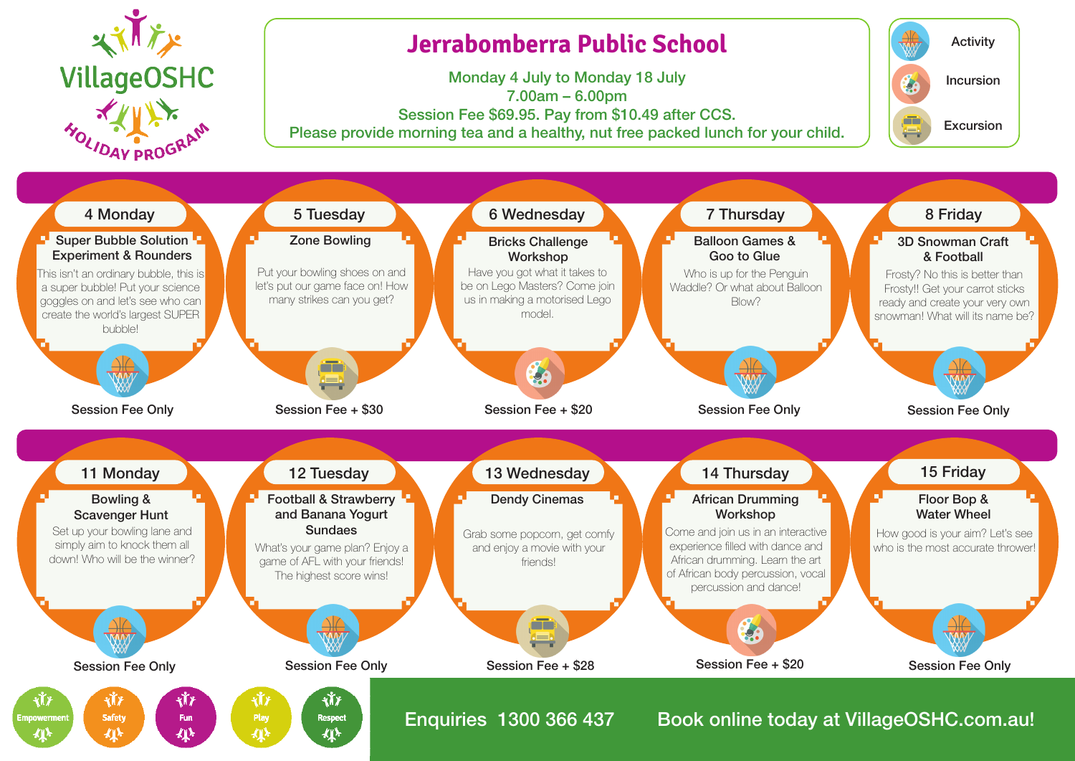